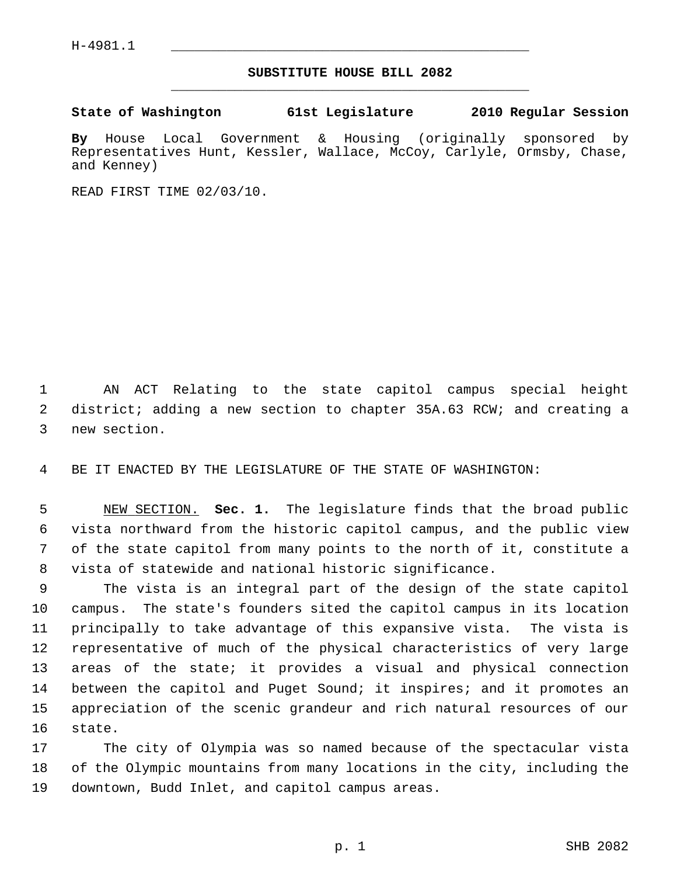## **SUBSTITUTE HOUSE BILL 2082** \_\_\_\_\_\_\_\_\_\_\_\_\_\_\_\_\_\_\_\_\_\_\_\_\_\_\_\_\_\_\_\_\_\_\_\_\_\_\_\_\_\_\_\_\_

**State of Washington 61st Legislature 2010 Regular Session**

**By** House Local Government & Housing (originally sponsored by Representatives Hunt, Kessler, Wallace, McCoy, Carlyle, Ormsby, Chase, and Kenney)

READ FIRST TIME 02/03/10.

 1 AN ACT Relating to the state capitol campus special height 2 district; adding a new section to chapter 35A.63 RCW; and creating a 3 new section.

4 BE IT ENACTED BY THE LEGISLATURE OF THE STATE OF WASHINGTON:

 5 NEW SECTION. **Sec. 1.** The legislature finds that the broad public 6 vista northward from the historic capitol campus, and the public view 7 of the state capitol from many points to the north of it, constitute a 8 vista of statewide and national historic significance.

 9 The vista is an integral part of the design of the state capitol 10 campus. The state's founders sited the capitol campus in its location 11 principally to take advantage of this expansive vista. The vista is 12 representative of much of the physical characteristics of very large 13 areas of the state; it provides a visual and physical connection 14 between the capitol and Puget Sound; it inspires; and it promotes an 15 appreciation of the scenic grandeur and rich natural resources of our 16 state.

17 The city of Olympia was so named because of the spectacular vista 18 of the Olympic mountains from many locations in the city, including the 19 downtown, Budd Inlet, and capitol campus areas.